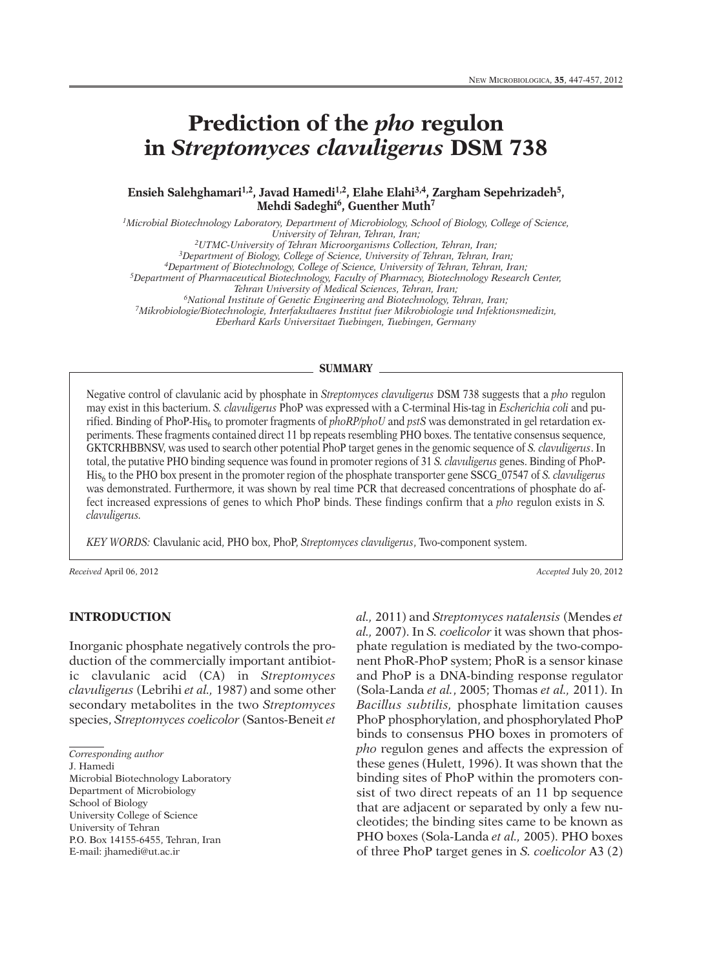# **Prediction of the** *pho* **regulon in** *Streptomyces clavuligerus* **DSM 738**

**Ensieh Salehghamari 1,2, Javad Hamedi 1,2, Elahe Elahi 3,4, Zargham Sepehrizadeh5, Mehdi Sadeghi 6, Guenther Muth7**

*1Microbial Biotechnology Laboratory, Department of Microbiology, School of Biology, College of Science, University of Tehran, Tehran, Iran; 2UTMC-University of Tehran Microorganisms Collection, Tehran, Iran;*

*3Department of Biology, College of Science, University of Tehran, Tehran, Iran;*

*4Department of Biotechnology, College of Science, University of Tehran, Tehran, Iran;*

*5Department of Pharmaceutical Biotechnology, Faculty of Pharmacy, Biotechnology Research Center,*

*Tehran University of Medical Sciences, Tehran, Iran;*

*6National Institute of Genetic Engineering and Biotechnology, Tehran, Iran;*

*7Mikrobiologie/Biotechnologie, Interfakultaeres Institut fuer Mikrobiologie und Infektionsmedizin,*

*Eberhard Karls Universitaet Tuebingen, Tuebingen, Germany*

#### **SUMMARY**

Negative control of clavulanic acid by phosphate in *Streptomyces clavuligerus* DSM 738 suggests that a *pho* regulon may exist in this bacterium. *S. clavuligerus* PhoP was expressed with a C-terminal His-tag in *Escherichia coli* and purified. Binding of PhoP-His<sub>6</sub> to promoter fragments of *phoRP/phoU* and *pstS* was demonstrated in gel retardation experiments. These fragments contained direct 11 bp repeats resembling PHO boxes. The tentative consensus sequence, GKTCRHBBNSV, was used to search other potential PhoP target genes in the genomic sequence of *S. clavuligerus*. In total, the putative PHO binding sequence was found in promoter regions of 31 *S. clavuligerus* genes. Binding of PhoP-His6 to the PHO box present in the promoter region of the phosphate transporter gene SSCG\_07547 of *S. clavuligerus* was demonstrated. Furthermore, it was shown by real time PCR that decreased concentrations of phosphate do affect increased expressions of genes to which PhoP binds. These findings confirm that a *pho* regulon exists in *S. clavuligerus.*

*KEY WORDS:* Clavulanic acid, PHO box, PhoP, *Streptomyces clavuligerus*, Two-component system.

*Received* April 06, 2012 *Accepted* July 20, 2012

## **INTRODUCTION**

Inorganic phosphate negatively controls the production of the commercially important antibiotic clavulanic acid (CA) in *Streptomyces clavuligerus* (Lebrihi *et al.,* 1987) and some other secondary metabolites in the two *Streptomyces* species, *Streptomyces coelicolor* (Santos-Beneit *et*

*Corresponding author*

J. Hamedi

Microbial Biotechnology Laboratory Department of Microbiology School of Biology University College of Science University of Tehran P.O. Box 14155-6455, Tehran, Iran E-mail: jhamedi@ut.ac.ir

*al.,* 2011) and *Streptomyces natalensis* (Mendes *et al.,* 2007). In *S. coelicolor* it was shown that phosphate regulation is mediated by the two-component PhoR-PhoP system; PhoR is a sensor kinase and PhoP is a DNA-binding response regulator (Sola-Landa *et al.*, 2005; Thomas *et al.,* 2011). In *Bacillus subtilis,* phosphate limitation causes PhoP phosphorylation, and phosphorylated PhoP binds to consensus PHO boxes in promoters of *pho* regulon genes and affects the expression of these genes (Hulett, 1996). It was shown that the binding sites of PhoP within the promoters consist of two direct repeats of an 11 bp sequence that are adjacent or separated by only a few nucleotides; the binding sites came to be known as PHO boxes (Sola-Landa *et al.,* 2005). PHO boxes of three PhoP target genes in *S. coelicolor* A3 (2)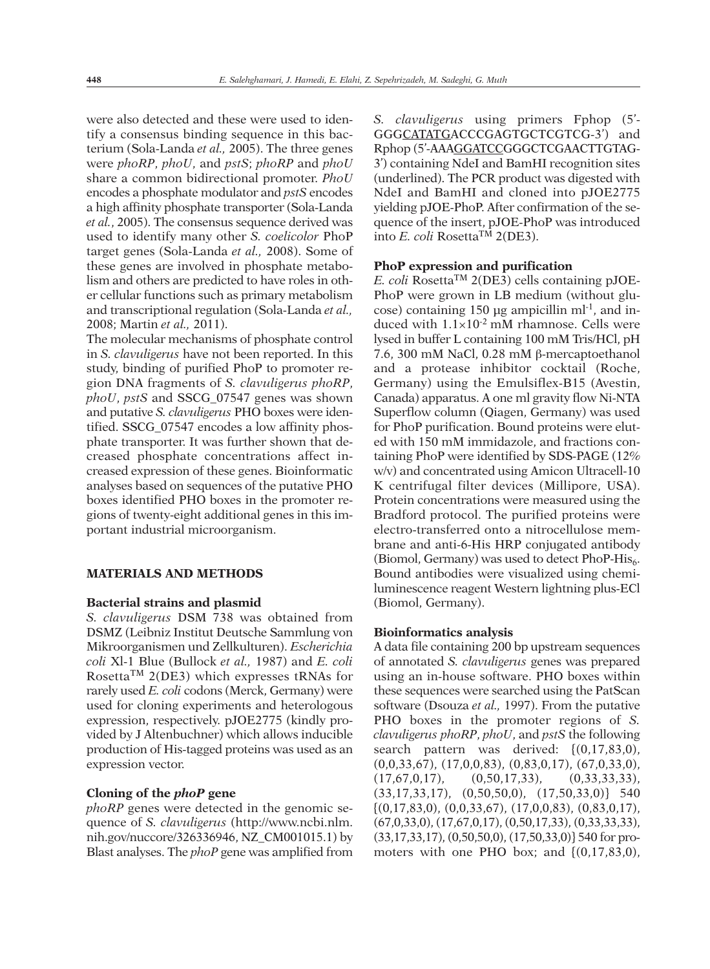were also detected and these were used to identify a consensus binding sequence in this bacterium (Sola-Landa *et al.,* 2005). The three genes were *phoRP*, *phoU*, and *pstS*; *phoRP* and *phoU* share a common bidirectional promoter. *PhoU* encodes a phosphate modulator and *pstS* encodes a high affinity phosphate transporter (Sola-Landa *et al.*, 2005). The consensus sequence derived was used to identify many other *S. coelicolor* PhoP target genes (Sola-Landa *et al.,* 2008). Some of these genes are involved in phosphate metabolism and others are predicted to have roles in other cellular functions such as primary metabolism and transcriptional regulation (Sola-Landa *et al.,* 2008; Martin *et al.,* 2011).

The molecular mechanisms of phosphate control in *S. clavuligerus* have not been reported. In this study, binding of purified PhoP to promoter region DNA fragments of *S. clavuligerus phoRP*, *phoU*, *pstS* and SSCG\_07547 genes was shown and putative *S. clavuligerus* PHO boxes were identified. SSCG\_07547 encodes a low affinity phosphate transporter. It was further shown that decreased phosphate concentrations affect increased expression of these genes. Bioinformatic analyses based on sequences of the putative PHO boxes identified PHO boxes in the promoter regions of twenty-eight additional genes in this important industrial microorganism.

## **MATERIALS AND METHODS**

#### **Bacterial strains and plasmid**

*S. clavuligerus* DSM 738 was obtained from DSMZ (Leibniz Institut Deutsche Sammlung von Mikroorganismen und Zellkulturen). *Escherichia coli* Xl-1 Blue (Bullock *et al.,* 1987) and *E. coli* Rosetta<sup>TM</sup> 2(DE3) which expresses tRNAs for rarely used *E. coli* codons (Merck, Germany) were used for cloning experiments and heterologous expression, respectively. pJOE2775 (kindly provided by J Altenbuchner) which allows inducible production of His-tagged proteins was used as an expression vector.

#### **Cloning of the** *phoP* **gene**

*phoRP* genes were detected in the genomic sequence of *S. clavuligerus* (http://www.ncbi.nlm. nih.gov/nuccore/326336946, NZ\_CM001015.1) by Blast analyses. The *phoP* gene was amplified from

*S. clavuligerus* using primers Fphop (5'- GGGCATATGACCCGAGTGCTCGTCG-3') and Rphop (5'-AAAGGATCCGGGCTCGAACTTGTAG-3') containing NdeI and BamHI recognition sites (underlined). The PCR product was digested with NdeI and BamHI and cloned into pJOE2775 yielding pJOE-PhoP. After confirmation of the sequence of the insert, pJOE-PhoP was introduced into *E. coli* RosettaTM 2(DE3).

#### **PhoP expression and purification**

 $E$ . *coli* Rosetta<sup>TM</sup> 2(DE3) cells containing pJOE-PhoP were grown in LB medium (without glucose) containing 150  $\mu$ g ampicillin ml<sup>-1</sup>, and induced with  $1.1\times10^{-2}$  mM rhamnose. Cells were lysed in buffer L containing 100 mM Tris/HCl, pH 7.6, 300 mM NaCl, 0.28 mM β-mercaptoethanol and a protease inhibitor cocktail (Roche, Germany) using the Emulsiflex-B15 (Avestin, Canada) apparatus. A one ml gravity flow Ni-NTA Superflow column (Qiagen, Germany) was used for PhoP purification. Bound proteins were eluted with 150 mM immidazole, and fractions containing PhoP were identified by SDS-PAGE (12% w/v) and concentrated using Amicon Ultracell-10 K centrifugal filter devices (Millipore, USA). Protein concentrations were measured using the Bradford protocol. The purified proteins were electro-transferred onto a nitrocellulose membrane and anti-6-His HRP conjugated antibody (Biomol, Germany) was used to detect  $PhoP-His<sub>6</sub>$ . Bound antibodies were visualized using chemiluminescence reagent Western lightning plus-ECl (Biomol, Germany).

#### **Bioinformatics analysis**

A data file containing 200 bp upstream sequences of annotated *S. clavuligerus* genes was prepared using an in-house software. PHO boxes within these sequences were searched using the PatScan software (Dsouza *et al.,* 1997). From the putative PHO boxes in the promoter regions of *S. clavuligerus phoRP*, *phoU*, and *pstS* the following search pattern was derived: {(0,17,83,0), (0,0,33,67), (17,0,0,83), (0,83,0,17), (67,0,33,0),  $(17,67,0,17),$   $(0,50,17,33),$   $(0,33,33,33),$  $(33,17,33,17)$ ,  $(0,50,50,0)$ ,  $(17,50,33,0)$ } 540  $\{(0,17,83,0), (0,0,33,67), (17,0,0,83), (0,83,0,17),$ (67,0,33,0), (17,67,0,17), (0,50,17,33), (0,33,33,33), (33,17,33,17), (0,50,50,0), (17,50,33,0)} 540 for promoters with one PHO box; and  $[(0,17,83,0),$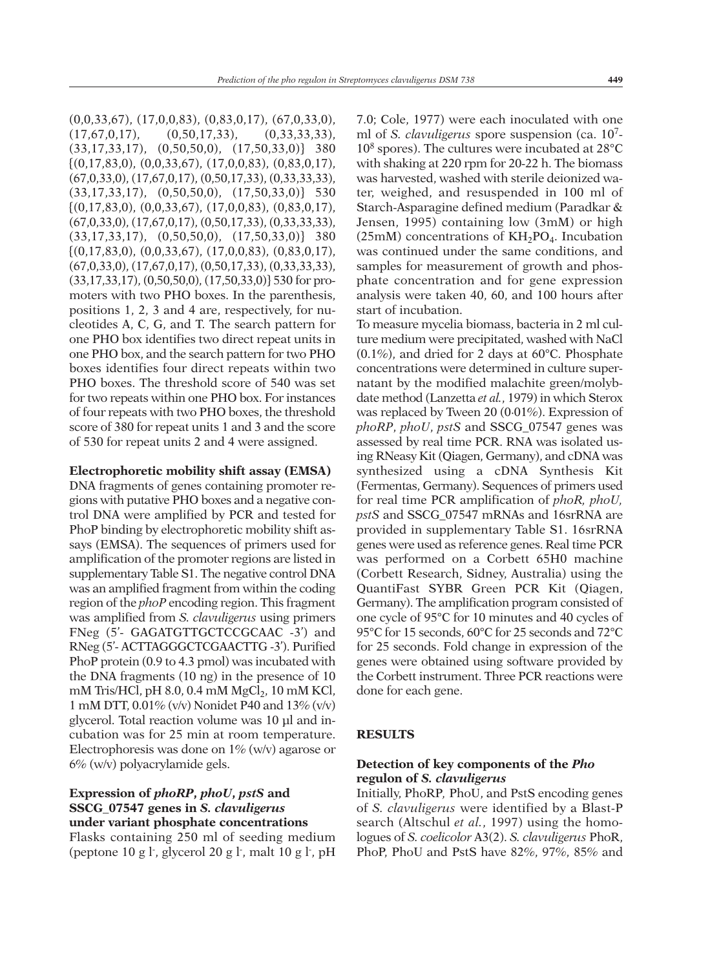(0,0,33,67), (17,0,0,83), (0,83,0,17), (67,0,33,0),  $(17,67,0,17),$   $(0,50,17,33),$   $(0,33,33,33),$ (33,17,33,17), (0,50,50,0), (17,50,33,0)} 380  $\{(0,17,83,0), (0,0,33,67), (17,0,0,83), (0,83,0,17),$ (67,0,33,0), (17,67,0,17), (0,50,17,33), (0,33,33,33),  $(33,17,33,17)$ ,  $(0,50,50,0)$ ,  $(17,50,33,0)$ } 530  $\{(0,17,83,0), (0,0,33,67), (17,0,0,83), (0,83,0,17),$ (67,0,33,0), (17,67,0,17), (0,50,17,33), (0,33,33,33), (33,17,33,17), (0,50,50,0), (17,50,33,0)} 380  $\{(0,17,83,0), (0,0,33,67), (17,0,0,83), (0,83,0,17),$ (67,0,33,0), (17,67,0,17), (0,50,17,33), (0,33,33,33), (33,17,33,17), (0,50,50,0), (17,50,33,0)} 530 for promoters with two PHO boxes. In the parenthesis, positions 1, 2, 3 and 4 are, respectively, for nucleotides A, C, G, and T. The search pattern for one PHO box identifies two direct repeat units in one PHO box, and the search pattern for two PHO boxes identifies four direct repeats within two PHO boxes. The threshold score of 540 was set for two repeats within one PHO box. For instances of four repeats with two PHO boxes, the threshold score of 380 for repeat units 1 and 3 and the score of 530 for repeat units 2 and 4 were assigned.

#### **Electrophoretic mobility shift assay (EMSA)**

DNA fragments of genes containing promoter regions with putative PHO boxes and a negative control DNA were amplified by PCR and tested for PhoP binding by electrophoretic mobility shift assays (EMSA). The sequences of primers used for amplification of the promoter regions are listed in supplementary Table S1. The negative control DNA was an amplified fragment from within the coding region of the *phoP* encoding region. This fragment was amplified from *S. clavuligerus* using primers FNeg (5'- GAGATGTTGCTCCGCAAC -3') and RNeg (5'- ACTTAGGGCTCGAACTTG -3'). Purified PhoP protein (0.9 to 4.3 pmol) was incubated with the DNA fragments (10 ng) in the presence of 10 mM Tris/HCl, pH 8.0, 0.4 mM  $MgCl<sub>2</sub>$ , 10 mM KCl, 1 mM DTT, 0.01% (v/v) Nonidet P40 and 13% (v/v) glycerol. Total reaction volume was 10 µl and incubation was for 25 min at room temperature. Electrophoresis was done on 1% (w/v) agarose or 6% (w/v) polyacrylamide gels.

## **Expression of** *phoRP***,** *phoU***,** *pstS* **and SSCG\_07547 genes in** *S. clavuligerus* **under variant phosphate concentrations**

Flasks containing 250 ml of seeding medium (peptone 10 g l<sup>-</sup>, glycerol 20 g l<sup>-</sup>, malt 10 g l<sup>-</sup>, pH

7.0; Cole, 1977) were each inoculated with one ml of *S. clavuligerus* spore suspension (ca. 107- 108 spores). The cultures were incubated at 28°C with shaking at 220 rpm for 20-22 h. The biomass was harvested, washed with sterile deionized water, weighed, and resuspended in 100 ml of Starch-Asparagine defined medium (Paradkar & Jensen, 1995) containing low (3mM) or high (25mM) concentrations of  $KH_2PO_4$ . Incubation was continued under the same conditions, and samples for measurement of growth and phosphate concentration and for gene expression analysis were taken 40, 60, and 100 hours after start of incubation.

To measure mycelia biomass, bacteria in 2 ml culture medium were precipitated, washed with NaCl (0.1%), and dried for 2 days at 60°C. Phosphate concentrations were determined in culture supernatant by the modified malachite green/molybdate method (Lanzetta *et al.*, 1979) in which Sterox was replaced by Tween 20 (0·01%). Expression of *phoRP*, *phoU*, *pstS* and SSCG\_07547 genes was assessed by real time PCR. RNA was isolated using RNeasy Kit (Qiagen, Germany), and cDNA was synthesized using a cDNA Synthesis Kit (Fermentas, Germany). Sequences of primers used for real time PCR amplification of *phoR, phoU, pstS* and SSCG\_07547 mRNAs and 16srRNA are provided in supplementary Table S1. 16srRNA genes were used as reference genes. Real time PCR was performed on a Corbett 65H0 machine (Corbett Research, Sidney, Australia) using the QuantiFast SYBR Green PCR Kit (Qiagen, Germany). The amplification program consisted of one cycle of 95°C for 10 minutes and 40 cycles of 95°C for 15 seconds, 60°C for 25 seconds and 72°C for 25 seconds. Fold change in expression of the genes were obtained using software provided by the Corbett instrument. Three PCR reactions were done for each gene.

#### **RESULTS**

## **Detection of key components of the** *Pho* **regulon of** *S. clavuligerus*

Initially, PhoRP*,* PhoU, and PstS encoding genes of *S. clavuligerus* were identified by a Blast-P search (Altschul *et al.*, 1997) using the homologues of *S. coelicolor* A3(2). *S. clavuligerus* PhoR, PhoP, PhoU and PstS have 82%, 97%, 85% and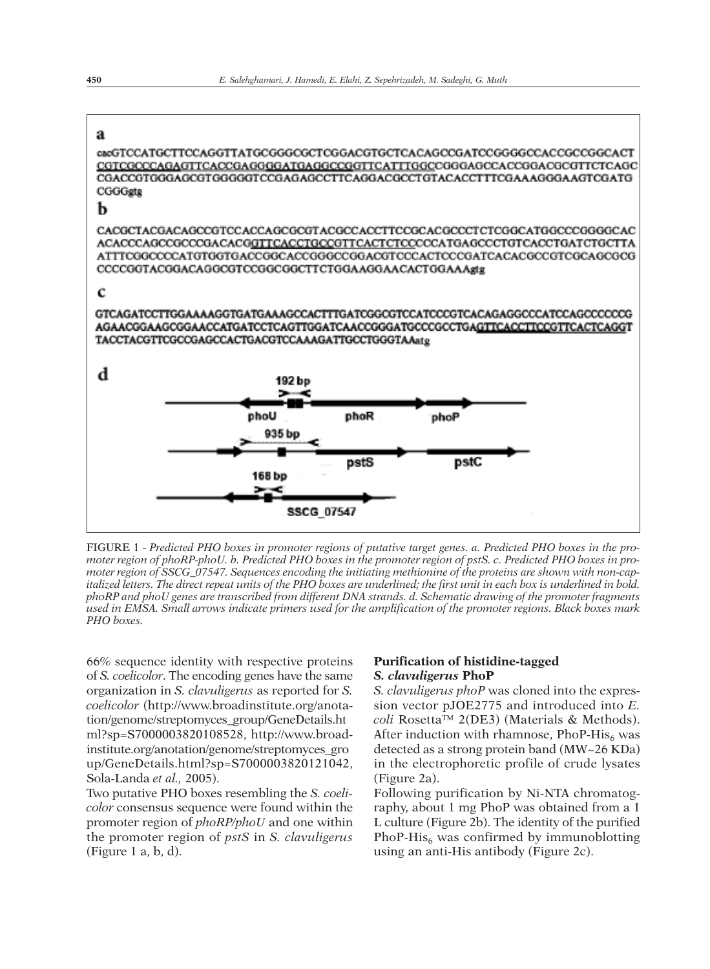

FIGURE 1 - Predicted PHO boxes in promoter regions of putative target genes. a. Predicted PHO boxes in the promoter region of phoRP-phoU. b. Predicted PHO boxes in the promoter region of pstS. c. Predicted PHO boxes in promoter region of SSCG 07547. Sequences encoding the initiating methionine of the proteins are shown with non-capitalized letters. The direct repeat units of the PHO boxes are underlined; the first unit in each box is underlined in bold. phoRP and phoU genes are transcribed from different DNA strands. d. Schematic drawing of the promoter fragments used in EMSA. Small arrows indicate primers used for the amplification of the promoter regions. Black boxes mark *PHO boxes.*

66% sequence identity with respective proteins of *S. coelicolor*. The encoding genes have the same organization in *S. clavuligerus* as reported for *S. coelicolor* (http://www.broadinstitute.org/anotation/genome/streptomyces\_group/GeneDetails.ht ml?sp=S7000003820108528, http://www.broadinstitute.org/anotation/genome/streptomyces\_gro up/GeneDetails.html?sp=S7000003820121042, Sola-Landa *et al.,* 2005).

Two putative PHO boxes resembling the *S. coelicolor* consensus sequence were found within the promoter region of *phoRP/phoU* and one within the promoter region of *pstS* in *S. clavuligerus* (Figure 1 a, b, d).

## **Purification of histidine-tagged** *S. clavuligerus* **PhoP**

*S. clavuligerus phoP* was cloned into the expression vector pJOE2775 and introduced into *E. coli* Rosetta™ 2(DE3) (Materials & Methods). After induction with rhamnose, PhoP-His $_6$  was detected as a strong protein band (MW~26 KDa) in the electrophoretic profile of crude lysates (Figure 2a).

Following purification by Ni-NTA chromatography, about 1 mg PhoP was obtained from a 1 L culture (Figure 2b). The identity of the purified PhoP-His $_6$  was confirmed by immunoblotting using an anti-His antibody (Figure 2c).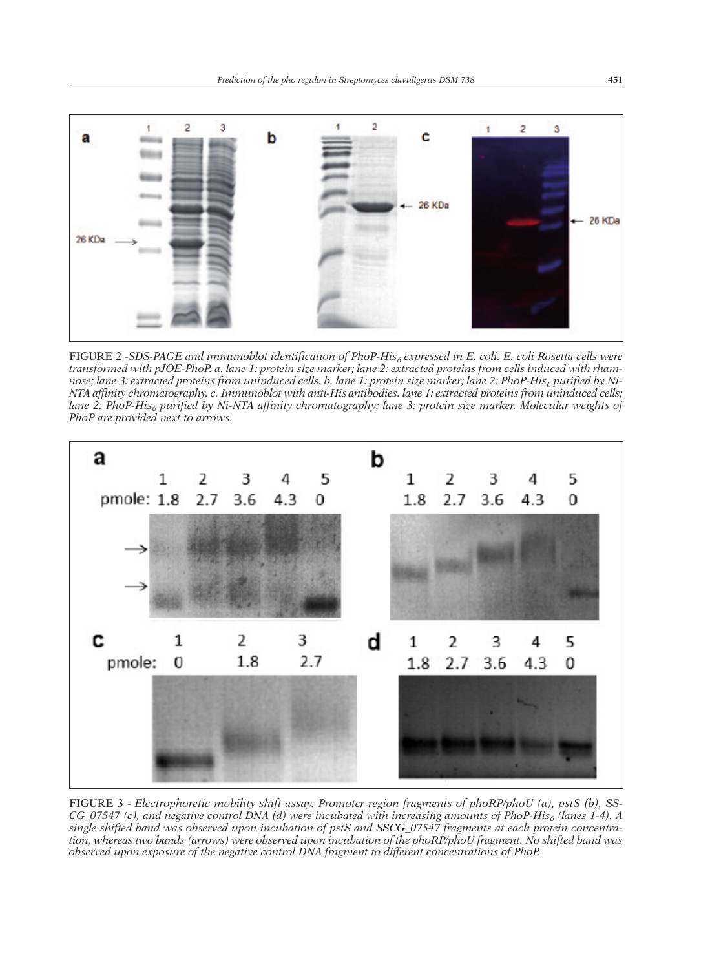

FIGURE 2 -*SDS-PAGE and immunoblot identification of PhoP-His6 expressed in E. coli. E. coli Rosetta cells were* transformed with pJOE-PhoP. a. lane 1: protein size marker; lane 2: extracted proteins from cells induced with rhamnose; lane 3: extracted proteins from uninduced cells. b. lane 1: protein size marker; lane 2: PhoP-His<sub>6</sub> purified by Ni-*NTA affinity chromatography. c. Immunoblot with anti-His antibodies. lane 1: extracted proteins from uninduced cells; lane 2: PhoP-His6 purified by Ni-NTA affinity chromatography; lane 3: protein size marker. Molecular weights of PhoP are provided next to arrows.*



FIGURE 3 - *Electrophoretic mobility shift assay. Promoter region fragments of phoRP/phoU (a), pstS (b), SS-*CG\_07547 (c), and negative control DNA (d) were incubated with increasing amounts of PhoP-His<sub>6</sub> (lanes 1-4). A *single shifted band was observed upon incubation of pstS and SSCG\_07547 fragments at each protein concentra*tion, whereas two bands (arrows) were observed upon incubation of the phoRP/phoU fragment. No shifted band was *observed upon exposure of the negative control DNA fragment to different concentrations of PhoP.*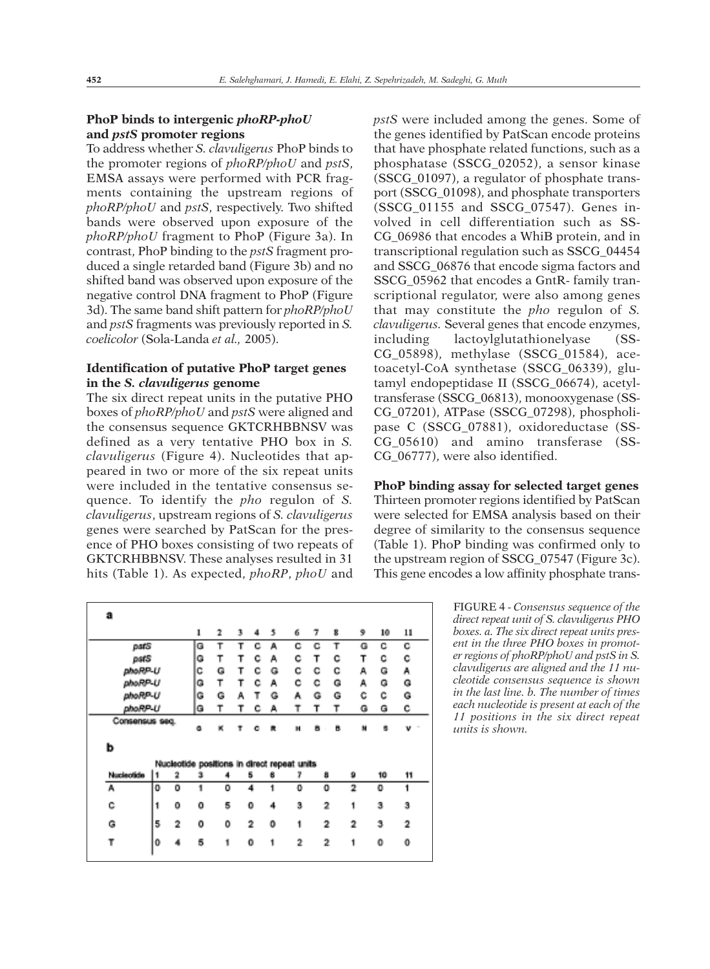## **PhoP binds to intergenic** *phoRP-phoU* **and** *pstS* **promoter regions**

To address whether *S. clavuligerus* PhoP binds to the promoter regions of *phoRP/phoU* and *pstS*, EMSA assays were performed with PCR fragments containing the upstream regions of *phoRP/phoU* and *pstS*, respectively. Two shifted bands were observed upon exposure of the *phoRP/phoU* fragment to PhoP (Figure 3a). In contrast, PhoP binding to the *pstS* fragment produced a single retarded band (Figure 3b) and no shifted band was observed upon exposure of the negative control DNA fragment to PhoP (Figure 3d). The same band shift pattern for *phoRP/phoU* and *pstS* fragments was previously reported in *S. coelicolor* (Sola-Landa *et al.,* 2005).

## **Identification of putative PhoP target genes in the** *S. clavuligerus* **genome**

The six direct repeat units in the putative PHO boxes of *phoRP/phoU* and *pstS* were aligned and the consensus sequence GKTCRHBBNSV was defined as a very tentative PHO box in *S. clavuligerus* (Figure 4). Nucleotides that appeared in two or more of the six repeat units were included in the tentative consensus sequence. To identify the *pho* regulon of *S. clavuligerus*, upstream regions of *S. clavuligerus* genes were searched by PatScan for the presence of PHO boxes consisting of two repeats of GKTCRHBBNSV. These analyses resulted in 31 hits (Table 1). As expected, *phoRP*, *phoU* and

*pstS* were included among the genes. Some of the genes identified by PatScan encode proteins that have phosphate related functions, such as a phosphatase (SSCG\_02052), a sensor kinase (SSCG\_01097), a regulator of phosphate transport (SSCG\_01098), and phosphate transporters (SSCG\_01155 and SSCG\_07547). Genes involved in cell differentiation such as SS-CG\_06986 that encodes a WhiB protein, and in transcriptional regulation such as SSCG\_04454 and SSCG\_06876 that encode sigma factors and SSCG\_05962 that encodes a GntR- family transcriptional regulator, were also among genes that may constitute the *pho* regulon of *S. clavuligerus.* Several genes that encode enzymes, including lactoylglutathionelyase (SS-CG\_05898), methylase (SSCG\_01584), acetoacetyl-CoA synthetase (SSCG\_06339), glutamyl endopeptidase II (SSCG\_06674), acetyltransferase (SSCG\_06813), monooxygenase (SS-CG\_07201), ATPase (SSCG\_07298), phospholipase C (SSCG\_07881), oxidoreductase (SS-CG 05610) and amino transferase (SS-CG\_06777), were also identified.

**PhoP binding assay for selected target genes** Thirteen promoter regions identified by PatScan were selected for EMSA analysis based on their degree of similarity to the consensus sequence (Table 1). PhoP binding was confirmed only to the upstream region of SSCG\_07547 (Figure 3c). This gene encodes a low affinity phosphate trans-

| a              |    |   |   |   |   |                |   |                                             |                |   |                |    |    |
|----------------|----|---|---|---|---|----------------|---|---------------------------------------------|----------------|---|----------------|----|----|
|                |    |   | ı | 2 | 3 | 4              | 5 | 6                                           | 7              | 8 | 9              | 10 | 11 |
| pstS           |    | G | т | т | с | А              | с | с                                           | т              | G | с              | с  |    |
| pstS           |    | G | т | т | с | А              | с | т                                           | с              | т | с              | ¢  |    |
| ahaRP-U        |    | с | G | т | с | G              | с | с                                           | с              | А | G              | А  |    |
| phoRP-U        |    | G | т | т | с | А              | с | с                                           | G              | А | G              | G  |    |
| phoRP-U        |    | G | G | А | т | G              | A | G                                           | G              | с | с              | G  |    |
| phoRP-U        |    | G |   |   |   | А              | т | Τ                                           | т              | G | G              | с  |    |
| Consensus seq. |    | ٥ |   |   |   |                | и | в                                           | в              |   |                |    |    |
| b              |    |   |   |   |   |                |   |                                             |                |   |                |    |    |
|                |    |   |   |   |   |                |   | Nucleotide positions in direct repeat units |                |   |                |    |    |
| Nucleotide     | I1 | 2 | з |   |   | 5              | 6 | 7                                           | 8              |   | 9              | 10 | 11 |
| A              | 0  | ٥ |   | ٥ |   | 4              |   | ٥                                           | ٥              |   | 2              | ٥  | 1  |
| с              | 1  | ٥ | ٥ | 5 |   | ٥              | 4 | 3                                           | 2              |   | 1              | 3  | з  |
| G              | 5  | 2 | 0 | ٥ |   | $\overline{2}$ | ٥ | 1                                           | $\overline{2}$ |   | $\overline{2}$ | 3  | 2  |
| т              | 0  |   | 5 | 1 |   | 0              | 1 | 2                                           | $\overline{2}$ |   | 1              | Ō  | 0  |
|                |    |   |   |   |   |                |   |                                             |                |   |                |    |    |

FIGURE 4 - *Consensus sequence of the direct repeat unit of S. clavuligerus PHO boxes. a. The six direct repeat units present in the three PHO boxes in promoter regions of phoRP/phoU and pstS in S. clavuligerus are aligned and the 11 nucleotide consensus sequence is shown in the last line. b. The number of times each nucleotide is present at each of the 11 positions in the six direct repeat units is shown.*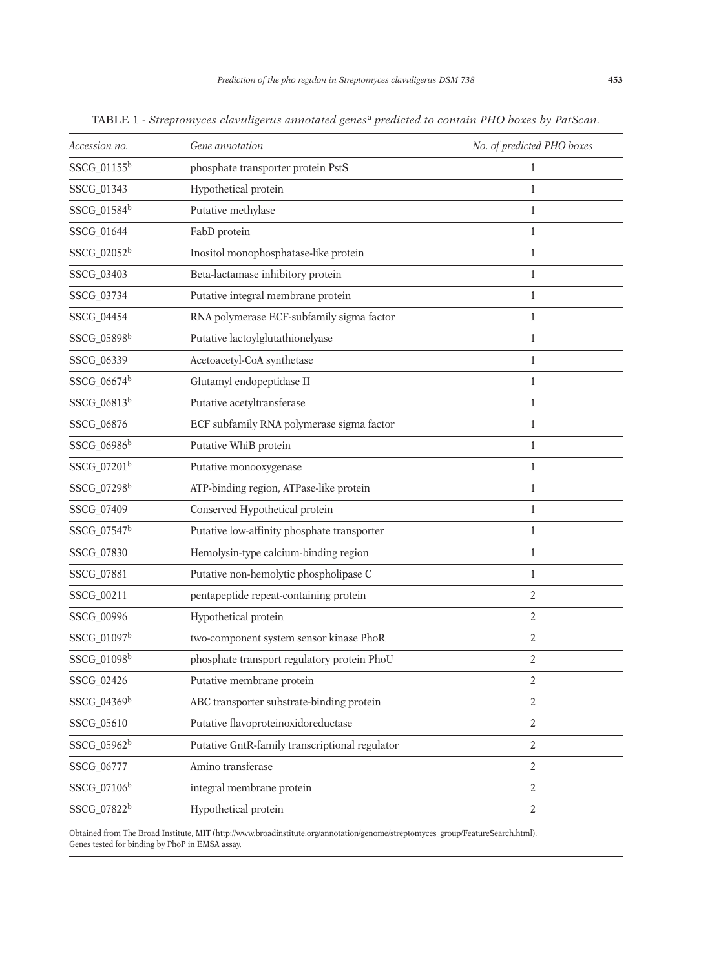| Accession no.           | Gene annotation                                | No. of predicted PHO boxes |
|-------------------------|------------------------------------------------|----------------------------|
| $SSCG_01155^b$          | phosphate transporter protein PstS             | $\mathbf{1}$               |
| SSCG_01343              | Hypothetical protein                           | 1                          |
| SSCG_01584b             | Putative methylase                             | 1                          |
| SSCG_01644              | FabD protein                                   | 1                          |
| SSCG_02052 <sup>b</sup> | Inositol monophosphatase-like protein          | 1                          |
| SSCG_03403              | Beta-lactamase inhibitory protein              | 1                          |
| SSCG_03734              | Putative integral membrane protein             | 1                          |
| SSCG_04454              | RNA polymerase ECF-subfamily sigma factor      | 1                          |
| SSCG_05898b             | Putative lactoylglutathionelyase               | $\mathbf{1}$               |
| SSCG_06339              | Acetoacetyl-CoA synthetase                     | $\mathbf{1}$               |
| SSCG_06674 <sup>b</sup> | Glutamyl endopeptidase II                      | $\mathbf{1}$               |
| SSCG_06813b             | Putative acetyltransferase                     | 1                          |
| SSCG_06876              | ECF subfamily RNA polymerase sigma factor      | $\mathbf{1}$               |
| SSCG_06986 <sup>b</sup> | Putative WhiB protein                          | $\mathbf{1}$               |
| SSCG_07201b             | Putative monooxygenase                         | $\mathbf{1}$               |
| SSCG_07298b             | ATP-binding region, ATPase-like protein        | 1                          |
| SSCG_07409              | Conserved Hypothetical protein                 | $\mathbf{1}$               |
| SSCG_07547b             | Putative low-affinity phosphate transporter    | $\mathbf{1}$               |
| SSCG_07830              | Hemolysin-type calcium-binding region          | $\mathbf{1}$               |
| SSCG_07881              | Putative non-hemolytic phospholipase C         | $\mathbf{1}$               |
| SSCG_00211              | pentapeptide repeat-containing protein         | $\overline{2}$             |
| SSCG_00996              | Hypothetical protein                           | $\overline{2}$             |
| SSCG_01097b             | two-component system sensor kinase PhoR        | $\overline{2}$             |
| SSCG_01098 <sup>b</sup> | phosphate transport regulatory protein PhoU    | $\overline{2}$             |
| SSCG_02426              | Putative membrane protein                      | $\overline{c}$             |
| SSCG_04369b             | ABC transporter substrate-binding protein      | $\overline{2}$             |
| SSCG_05610              | Putative flavoproteinoxidoreductase            | 2                          |
| SSCG_05962 <sup>b</sup> | Putative GntR-family transcriptional regulator | $\overline{2}$             |
| SSCG_06777              | Amino transferase                              | $\overline{2}$             |
| SSCG_07106 <sup>b</sup> | integral membrane protein                      | $\overline{2}$             |
| SSCG_07822b             | Hypothetical protein                           | $\overline{2}$             |

TABLE 1 - *Streptomyces clavuligerus annotated genes*<sup>a</sup> *predicted to contain PHO boxes by PatScan.*

Obtained from The Broad Institute, MIT (http://www.broadinstitute.org/annotation/genome/streptomyces\_group/FeatureSearch.html). Genes tested for binding by PhoP in EMSA assay.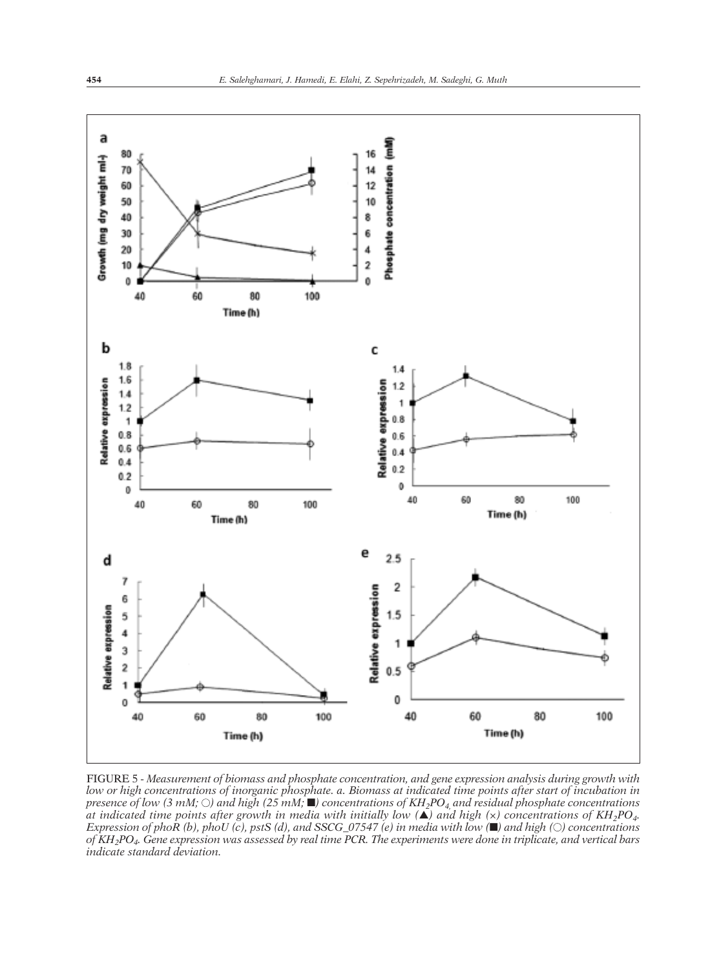

FIGURE 5 - *Measurement of biomass and phosphate concentration, and gene expression analysis during growth with* low or high concentrations of inorganic phosphate. a. Biomass at indicated time points after start of incubation in presence of low (3 mM;  $\odot$ ) and high (25 mM;  $\blacksquare$ ) concentrations of KH<sub>2</sub>PO<sub>4</sub> and residual phosphate concentrations at indicated time points after growth in media with initially low ( $\triangle$ ) and high (x) concentrations of KH<sub>2</sub>PO<sub>4</sub>. Expression of phoR (b), phoU (c), pstS (d), and SSCG\_07547 (e) in media with low  $(\blacksquare)$  and high ( $\bigcirc$ ) concentrations of KH<sub>2</sub>PO<sub>4</sub>. Gene expression was assessed by real time PCR. The experiments were done in triplicate, and vertical bars *indicate standard deviation.*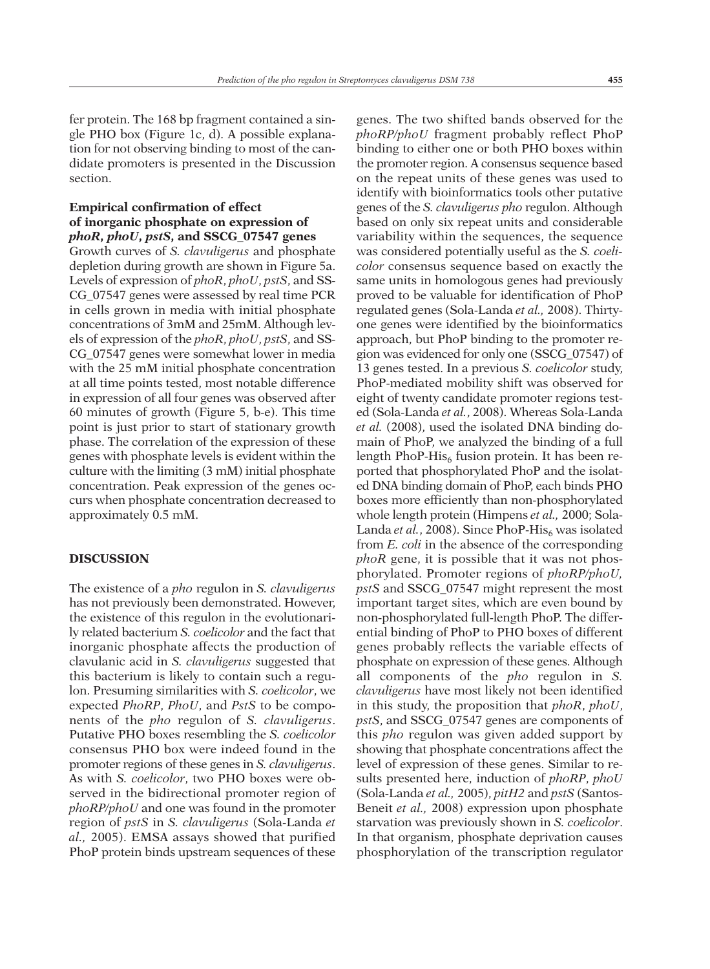fer protein. The 168 bp fragment contained a single PHO box (Figure 1c, d). A possible explanation for not observing binding to most of the can-

## **Empirical confirmation of effect of inorganic phosphate on expression of** *phoR***,** *phoU***,** *pstS***, and SSCG\_07547 genes**

didate promoters is presented in the Discussion

Growth curves of *S. clavuligerus* and phosphate depletion during growth are shown in Figure 5a. Levels of expression of *phoR*, *phoU*, *pstS*, and SS-CG\_07547 genes were assessed by real time PCR in cells grown in media with initial phosphate concentrations of 3mM and 25mM. Although levels of expression of the *phoR*, *phoU*, *pstS*, and SS-CG\_07547 genes were somewhat lower in media with the 25 mM initial phosphate concentration at all time points tested, most notable difference in expression of all four genes was observed after 60 minutes of growth (Figure 5, b-e). This time point is just prior to start of stationary growth phase. The correlation of the expression of these genes with phosphate levels is evident within the culture with the limiting (3 mM) initial phosphate concentration. Peak expression of the genes occurs when phosphate concentration decreased to approximately 0.5 mM.

## **DISCUSSION**

section.

The existence of a *pho* regulon in *S. clavuligerus* has not previously been demonstrated. However, the existence of this regulon in the evolutionarily related bacterium *S. coelicolor* and the fact that inorganic phosphate affects the production of clavulanic acid in *S. clavuligerus* suggested that this bacterium is likely to contain such a regulon. Presuming similarities with *S. coelicolor*, we expected *PhoRP*, *PhoU*, and *PstS* to be components of the *pho* regulon of *S. clavuligerus*. Putative PHO boxes resembling the *S. coelicolor* consensus PHO box were indeed found in the promoter regions of these genes in *S. clavuligerus*. As with *S. coelicolor*, two PHO boxes were observed in the bidirectional promoter region of *phoRP/phoU* and one was found in the promoter region of *pstS* in *S. clavuligerus* (Sola-Landa *et al.,* 2005). EMSA assays showed that purified PhoP protein binds upstream sequences of these

genes. The two shifted bands observed for the *phoRP/phoU* fragment probably reflect PhoP binding to either one or both PHO boxes within the promoter region. A consensus sequence based on the repeat units of these genes was used to identify with bioinformatics tools other putative genes of the *S. clavuligerus pho* regulon. Although based on only six repeat units and considerable variability within the sequences, the sequence was considered potentially useful as the *S. coelicolor* consensus sequence based on exactly the same units in homologous genes had previously proved to be valuable for identification of PhoP regulated genes (Sola-Landa *et al.,* 2008). Thirtyone genes were identified by the bioinformatics approach, but PhoP binding to the promoter region was evidenced for only one (SSCG\_07547) of 13 genes tested. In a previous *S. coelicolor* study, PhoP-mediated mobility shift was observed for eight of twenty candidate promoter regions tested (Sola-Landa *et al.*, 2008). Whereas Sola-Landa *et al.* (2008), used the isolated DNA binding domain of PhoP, we analyzed the binding of a full length PhoP-His<sub>6</sub> fusion protein. It has been reported that phosphorylated PhoP and the isolated DNA binding domain of PhoP, each binds PHO boxes more efficiently than non-phosphorylated whole length protein (Himpens *et al.,* 2000; Sola-Landa *et al.*, 2008). Since PhoP-His<sub>6</sub> was isolated from *E. coli* in the absence of the corresponding *phoR* gene, it is possible that it was not phosphorylated. Promoter regions of *phoRP/phoU, pstS* and SSCG\_07547 might represent the most important target sites, which are even bound by non-phosphorylated full-length PhoP. The differential binding of PhoP to PHO boxes of different genes probably reflects the variable effects of phosphate on expression of these genes. Although all components of the *pho* regulon in *S. clavuligerus* have most likely not been identified in this study, the proposition that *phoR*, *phoU*, *pstS*, and SSCG\_07547 genes are components of this *pho* regulon was given added support by showing that phosphate concentrations affect the level of expression of these genes. Similar to results presented here, induction of *phoRP*, *phoU* (Sola-Landa *et al.,* 2005), *pitH2* and *pstS* (Santos-Beneit *et al.,* 2008) expression upon phosphate starvation was previously shown in *S. coelicolor*. In that organism, phosphate deprivation causes phosphorylation of the transcription regulator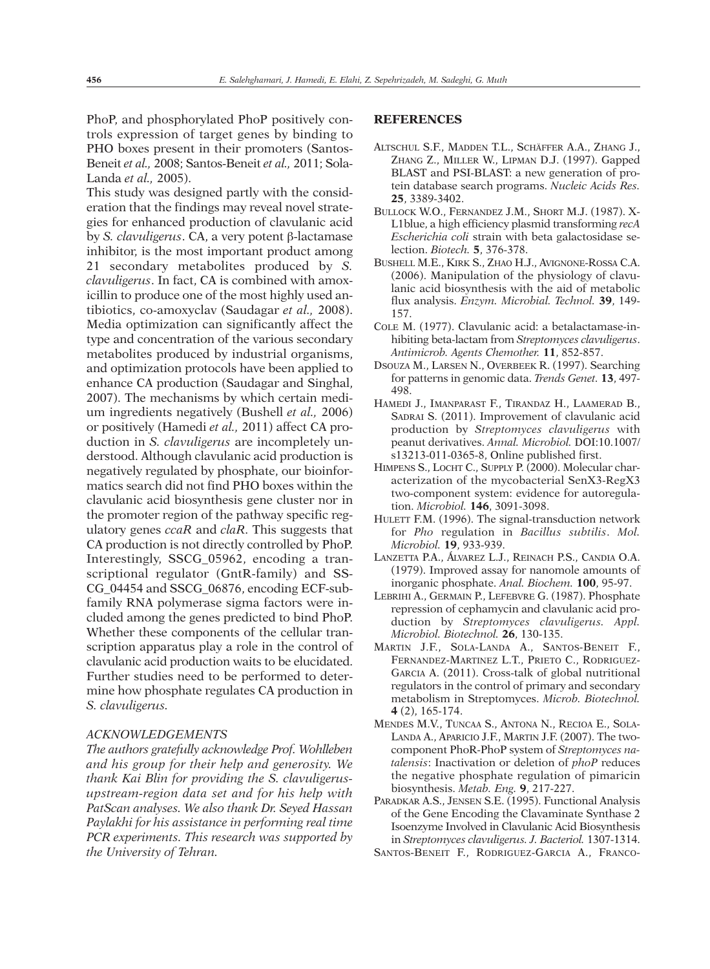PhoP, and phosphorylated PhoP positively controls expression of target genes by binding to PHO boxes present in their promoters (Santos-Beneit *et al.,* 2008; Santos-Beneit *et al.,* 2011; Sola-Landa *et al.,* 2005).

This study was designed partly with the consideration that the findings may reveal novel strategies for enhanced production of clavulanic acid by *S. clavuligerus*. CA, a very potent β-lactamase inhibitor, is the most important product among 21 secondary metabolites produced by *S. clavuligerus*. In fact, CA is combined with amoxicillin to produce one of the most highly used antibiotics, co-amoxyclav (Saudagar *et al.,* 2008). Media optimization can significantly affect the type and concentration of the various secondary metabolites produced by industrial organisms, and optimization protocols have been applied to enhance CA production (Saudagar and Singhal, 2007). The mechanisms by which certain medium ingredients negatively (Bushell *et al.,* 2006) or positively (Hamedi *et al.,* 2011) affect CA production in *S. clavuligerus* are incompletely understood. Although clavulanic acid production is negatively regulated by phosphate, our bioinformatics search did not find PHO boxes within the clavulanic acid biosynthesis gene cluster nor in the promoter region of the pathway specific regulatory genes *ccaR* and *claR*. This suggests that CA production is not directly controlled by PhoP. Interestingly, SSCG\_05962, encoding a transcriptional regulator (GntR-family) and SS-CG\_04454 and SSCG\_06876, encoding ECF-subfamily RNA polymerase sigma factors were included among the genes predicted to bind PhoP. Whether these components of the cellular transcription apparatus play a role in the control of clavulanic acid production waits to be elucidated. Further studies need to be performed to determine how phosphate regulates CA production in *S. clavuligerus.*

#### *ACKNOWLEDGEMENTS*

*The authors gratefully acknowledge Prof. Wohlleben and his group for their help and generosity. We thank Kai Blin for providing the S. clavuligerusupstream-region data set and for his help with PatScan analyses. We also thank Dr. Seyed Hassan Paylakhi for his assistance in performing real time PCR experiments. This research was supported by the University of Tehran.*

## **REFERENCES**

- ALTSCHUL S.F., MADDEN T.L., SCHÄFFER A.A., ZHANG J., ZHANG Z., MILLER W., LIPMAN D.J. (1997). Gapped BLAST and PSI-BLAST: a new generation of protein database search programs. *Nucleic Acids Res.* **25**, 3389-3402.
- BULLOCK W.O., FERNANDEZ J.M., SHORT M.J. (1987). X-L1blue, a high efficiency plasmid transforming *recA Escherichia coli* strain with beta galactosidase selection. *Biotech.* **5**, 376-378.
- BUSHELL M.E., KIRK S., ZHAO H.J., AVIGNONE-ROSSA C.A. (2006). Manipulation of the physiology of clavulanic acid biosynthesis with the aid of metabolic flux analysis. *Enzym. Microbial. Technol.* **39**, 149- 157.
- COLE M. (1977). Clavulanic acid: a betalactamase-inhibiting beta-lactam from *Streptomyces clavuligerus*. *Antimicrob. Agents Chemother.* **11**, 852-857.
- DSOUZA M., LARSEN N., OVERBEEK R. (1997). Searching for patterns in genomic data. *Trends Genet.* **13**, 497- 498.
- HAMEDI J., IMANPARAST F., TIRANDAZ H., LAAMERAD B., SADRAI S. (2011). Improvement of clavulanic acid production by *Streptomyces clavuligerus* with peanut derivatives. *Annal. Microbiol.* DOI:10.1007/ s13213-011-0365-8, Online published first.
- HIMPENS S., LOCHT C., SUPPLY P. (2000). Molecular characterization of the mycobacterial SenX3-RegX3 two-component system: evidence for autoregulation. *Microbiol.* **146**, 3091-3098.
- HULETT F.M. (1996). The signal-transduction network for *Pho* regulation in *Bacillus subtilis*. *Mol. Microbiol.* **19**, 933-939.
- LANZETTA P.A., ÁLVAREZ L.J., REINACH P.S., CANDIA O.A. (1979). Improved assay for nanomole amounts of inorganic phosphate. *Anal. Biochem.* **100**, 95-97.
- LEBRIHI A., GERMAIN P., LEFEBVRE G. (1987). Phosphate repression of cephamycin and clavulanic acid production by *Streptomyces clavuligerus. Appl. Microbiol. Biotechnol.* **26**, 130-135.
- MARTIN J.F., SOLA-LANDA A., SANTOS-BENEIT F., FERNANDEZ-MARTINEZ L.T., PRIETO C., RODRIGUEZ-GARCIA A. (2011). Cross-talk of global nutritional regulators in the control of primary and secondary metabolism in Streptomyces. *Microb. Biotechnol.* **4** (2), 165-174.
- MENDES M.V., TUNCAA S., ANTONA N., RECIOA E., SOLA-LANDA A., APARICIO J.F., MARTIN J.F. (2007). The twocomponent PhoR-PhoP system of *Streptomyces natalensis*: Inactivation or deletion of *phoP* reduces the negative phosphate regulation of pimaricin biosynthesis. *Metab. Eng.* **9**, 217-227.
- PARADKAR A.S., JENSEN S.E. (1995). Functional Analysis of the Gene Encoding the Clavaminate Synthase 2 Isoenzyme Involved in Clavulanic Acid Biosynthesis in *Streptomyces clavuligerus. J. Bacteriol.* 1307-1314. SANTOS-BENEIT F., RODRIGUEZ-GARCIA A., FRANCO-